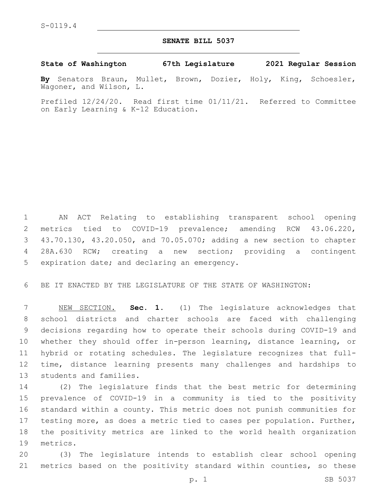## **SENATE BILL 5037**

**State of Washington 67th Legislature 2021 Regular Session**

**By** Senators Braun, Mullet, Brown, Dozier, Holy, King, Schoesler, Wagoner, and Wilson, L.

Prefiled 12/24/20. Read first time 01/11/21. Referred to Committee on Early Learning & K-12 Education.

 AN ACT Relating to establishing transparent school opening metrics tied to COVID-19 prevalence; amending RCW 43.06.220, 43.70.130, 43.20.050, and 70.05.070; adding a new section to chapter 28A.630 RCW; creating a new section; providing a contingent 5 expiration date; and declaring an emergency.

BE IT ENACTED BY THE LEGISLATURE OF THE STATE OF WASHINGTON:

 NEW SECTION. **Sec. 1.** (1) The legislature acknowledges that school districts and charter schools are faced with challenging decisions regarding how to operate their schools during COVID-19 and whether they should offer in-person learning, distance learning, or hybrid or rotating schedules. The legislature recognizes that full- time, distance learning presents many challenges and hardships to students and families.

 (2) The legislature finds that the best metric for determining prevalence of COVID-19 in a community is tied to the positivity standard within a county. This metric does not punish communities for testing more, as does a metric tied to cases per population. Further, the positivity metrics are linked to the world health organization 19 metrics.

 (3) The legislature intends to establish clear school opening metrics based on the positivity standard within counties, so these

p. 1 SB 5037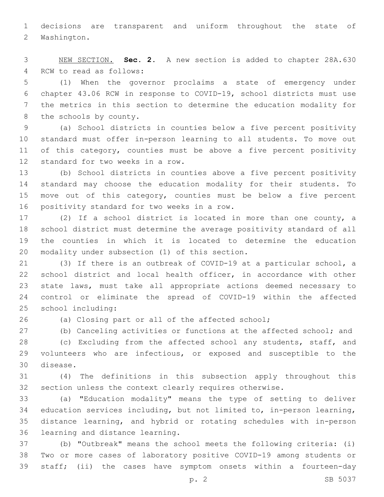decisions are transparent and uniform throughout the state of 2 Washington.

 NEW SECTION. **Sec. 2.** A new section is added to chapter 28A.630 4 RCW to read as follows:

 (1) When the governor proclaims a state of emergency under chapter 43.06 RCW in response to COVID-19, school districts must use the metrics in this section to determine the education modality for 8 the schools by county.

 (a) School districts in counties below a five percent positivity standard must offer in-person learning to all students. To move out 11 of this category, counties must be above a five percent positivity 12 standard for two weeks in a row.

 (b) School districts in counties above a five percent positivity standard may choose the education modality for their students. To move out of this category, counties must be below a five percent 16 positivity standard for two weeks in a row.

 (2) If a school district is located in more than one county, a school district must determine the average positivity standard of all the counties in which it is located to determine the education 20 modality under subsection (1) of this section.

 (3) If there is an outbreak of COVID-19 at a particular school, a school district and local health officer, in accordance with other state laws, must take all appropriate actions deemed necessary to control or eliminate the spread of COVID-19 within the affected 25 school including:

(a) Closing part or all of the affected school;

(b) Canceling activities or functions at the affected school; and

 (c) Excluding from the affected school any students, staff, and volunteers who are infectious, or exposed and susceptible to the 30 disease.

 (4) The definitions in this subsection apply throughout this section unless the context clearly requires otherwise.

 (a) "Education modality" means the type of setting to deliver education services including, but not limited to, in-person learning, distance learning, and hybrid or rotating schedules with in-person 36 learning and distance learning.

 (b) "Outbreak" means the school meets the following criteria: (i) Two or more cases of laboratory positive COVID-19 among students or staff; (ii) the cases have symptom onsets within a fourteen-day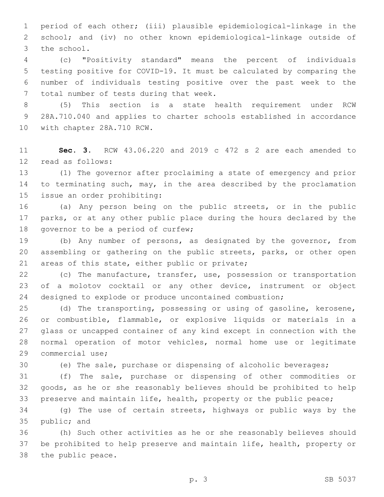period of each other; (iii) plausible epidemiological-linkage in the school; and (iv) no other known epidemiological-linkage outside of 3 the school.

 (c) "Positivity standard" means the percent of individuals testing positive for COVID-19. It must be calculated by comparing the number of individuals testing positive over the past week to the 7 total number of tests during that week.

 (5) This section is a state health requirement under RCW 28A.710.040 and applies to charter schools established in accordance 10 with chapter 28A.710 RCW.

 **Sec. 3.** RCW 43.06.220 and 2019 c 472 s 2 are each amended to 12 read as follows:

 (1) The governor after proclaiming a state of emergency and prior 14 to terminating such, may, in the area described by the proclamation 15 issue an order prohibiting:

 (a) Any person being on the public streets, or in the public parks, or at any other public place during the hours declared by the 18 governor to be a period of curfew;

 (b) Any number of persons, as designated by the governor, from assembling or gathering on the public streets, parks, or other open 21 areas of this state, either public or private;

 (c) The manufacture, transfer, use, possession or transportation of a molotov cocktail or any other device, instrument or object designed to explode or produce uncontained combustion;

 (d) The transporting, possessing or using of gasoline, kerosene, or combustible, flammable, or explosive liquids or materials in a glass or uncapped container of any kind except in connection with the normal operation of motor vehicles, normal home use or legitimate 29 commercial use;

(e) The sale, purchase or dispensing of alcoholic beverages;

 (f) The sale, purchase or dispensing of other commodities or goods, as he or she reasonably believes should be prohibited to help preserve and maintain life, health, property or the public peace;

 (g) The use of certain streets, highways or public ways by the 35 public; and

 (h) Such other activities as he or she reasonably believes should be prohibited to help preserve and maintain life, health, property or 38 the public peace.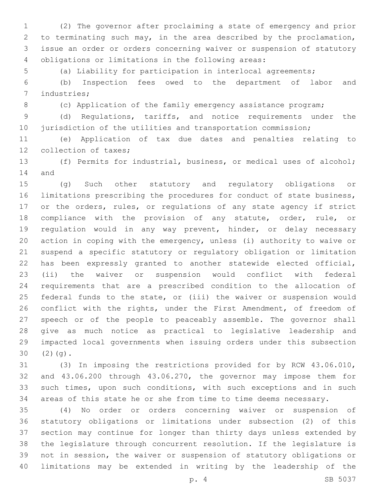(2) The governor after proclaiming a state of emergency and prior to terminating such may, in the area described by the proclamation, issue an order or orders concerning waiver or suspension of statutory 4 obligations or limitations in the following areas:

(a) Liability for participation in interlocal agreements;

 (b) Inspection fees owed to the department of labor and 7 industries;

8 (c) Application of the family emergency assistance program;

 (d) Regulations, tariffs, and notice requirements under the 10 jurisdiction of the utilities and transportation commission;

 (e) Application of tax due dates and penalties relating to 12 collection of taxes;

 (f) Permits for industrial, business, or medical uses of alcohol; 14 and

 (g) Such other statutory and regulatory obligations or limitations prescribing the procedures for conduct of state business, or the orders, rules, or regulations of any state agency if strict compliance with the provision of any statute, order, rule, or regulation would in any way prevent, hinder, or delay necessary action in coping with the emergency, unless (i) authority to waive or suspend a specific statutory or regulatory obligation or limitation has been expressly granted to another statewide elected official, (ii) the waiver or suspension would conflict with federal requirements that are a prescribed condition to the allocation of federal funds to the state, or (iii) the waiver or suspension would 26 conflict with the rights, under the First Amendment, of freedom of speech or of the people to peaceably assemble. The governor shall give as much notice as practical to legislative leadership and impacted local governments when issuing orders under this subsection  $30(2)(q).$ 

 (3) In imposing the restrictions provided for by RCW 43.06.010, and 43.06.200 through 43.06.270, the governor may impose them for such times, upon such conditions, with such exceptions and in such areas of this state he or she from time to time deems necessary.

 (4) No order or orders concerning waiver or suspension of statutory obligations or limitations under subsection (2) of this section may continue for longer than thirty days unless extended by the legislature through concurrent resolution. If the legislature is not in session, the waiver or suspension of statutory obligations or limitations may be extended in writing by the leadership of the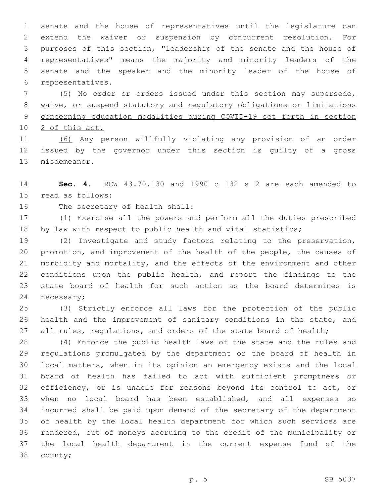senate and the house of representatives until the legislature can extend the waiver or suspension by concurrent resolution. For purposes of this section, "leadership of the senate and the house of representatives" means the majority and minority leaders of the senate and the speaker and the minority leader of the house of 6 representatives.

 (5) No order or orders issued under this section may supersede, waive, or suspend statutory and regulatory obligations or limitations concerning education modalities during COVID-19 set forth in section 2 of this act.

 (6) Any person willfully violating any provision of an order issued by the governor under this section is guilty of a gross 13 misdemeanor.

 **Sec. 4.** RCW 43.70.130 and 1990 c 132 s 2 are each amended to 15 read as follows:

16 The secretary of health shall:

 (1) Exercise all the powers and perform all the duties prescribed 18 by law with respect to public health and vital statistics;

 (2) Investigate and study factors relating to the preservation, promotion, and improvement of the health of the people, the causes of morbidity and mortality, and the effects of the environment and other conditions upon the public health, and report the findings to the state board of health for such action as the board determines is 24 necessary;

 (3) Strictly enforce all laws for the protection of the public health and the improvement of sanitary conditions in the state, and 27 all rules, regulations, and orders of the state board of health;

 (4) Enforce the public health laws of the state and the rules and regulations promulgated by the department or the board of health in local matters, when in its opinion an emergency exists and the local board of health has failed to act with sufficient promptness or 32 efficiency, or is unable for reasons beyond its control to act, or when no local board has been established, and all expenses so incurred shall be paid upon demand of the secretary of the department of health by the local health department for which such services are rendered, out of moneys accruing to the credit of the municipality or the local health department in the current expense fund of the 38 county;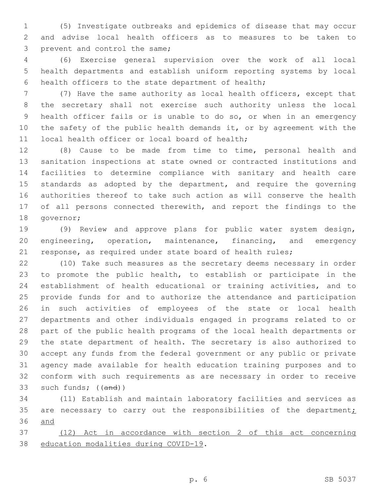(5) Investigate outbreaks and epidemics of disease that may occur and advise local health officers as to measures to be taken to 3 prevent and control the same;

 (6) Exercise general supervision over the work of all local health departments and establish uniform reporting systems by local 6 health officers to the state department of health;

 (7) Have the same authority as local health officers, except that the secretary shall not exercise such authority unless the local health officer fails or is unable to do so, or when in an emergency the safety of the public health demands it, or by agreement with the 11 local health officer or local board of health;

 (8) Cause to be made from time to time, personal health and sanitation inspections at state owned or contracted institutions and facilities to determine compliance with sanitary and health care 15 standards as adopted by the department, and require the governing authorities thereof to take such action as will conserve the health 17 of all persons connected therewith, and report the findings to the 18 governor;

 (9) Review and approve plans for public water system design, engineering, operation, maintenance, financing, and emergency response, as required under state board of health rules;

 (10) Take such measures as the secretary deems necessary in order to promote the public health, to establish or participate in the establishment of health educational or training activities, and to provide funds for and to authorize the attendance and participation in such activities of employees of the state or local health departments and other individuals engaged in programs related to or part of the public health programs of the local health departments or the state department of health. The secretary is also authorized to accept any funds from the federal government or any public or private agency made available for health education training purposes and to conform with such requirements as are necessary in order to receive 33 such funds; ((and))

 (11) Establish and maintain laboratory facilities and services as 35 are necessary to carry out the responsibilities of the department $\dot{z}$ and

 (12) Act in accordance with section 2 of this act concerning 38 education modalities during COVID-19.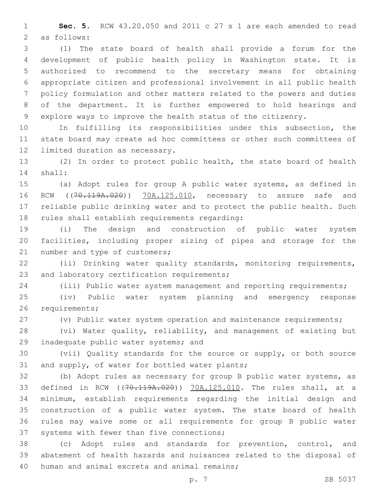**Sec. 5.** RCW 43.20.050 and 2011 c 27 s 1 are each amended to read 2 as follows:

 (1) The state board of health shall provide a forum for the development of public health policy in Washington state. It is authorized to recommend to the secretary means for obtaining appropriate citizen and professional involvement in all public health policy formulation and other matters related to the powers and duties of the department. It is further empowered to hold hearings and explore ways to improve the health status of the citizenry.

 In fulfilling its responsibilities under this subsection, the state board may create ad hoc committees or other such committees of 12 limited duration as necessary.

 (2) In order to protect public health, the state board of health 14 shall:

 (a) Adopt rules for group A public water systems, as defined in 16 RCW ((70.119A.020)) 70A.125.010, necessary to assure safe and reliable public drinking water and to protect the public health. Such 18 rules shall establish requirements regarding:

 (i) The design and construction of public water system facilities, including proper sizing of pipes and storage for the 21 number and type of customers;

 (ii) Drinking water quality standards, monitoring requirements, 23 and laboratory certification requirements;

(iii) Public water system management and reporting requirements;

 (iv) Public water system planning and emergency response 26 requirements;

(v) Public water system operation and maintenance requirements;

 (vi) Water quality, reliability, and management of existing but 29 inadequate public water systems; and

 (vii) Quality standards for the source or supply, or both source 31 and supply, of water for bottled water plants;

 (b) Adopt rules as necessary for group B public water systems, as defined in RCW ((70.119A.020)) 70A.125.010. The rules shall, at a minimum, establish requirements regarding the initial design and construction of a public water system. The state board of health rules may waive some or all requirements for group B public water 37 systems with fewer than five connections;

 (c) Adopt rules and standards for prevention, control, and abatement of health hazards and nuisances related to the disposal of 40 human and animal excreta and animal remains;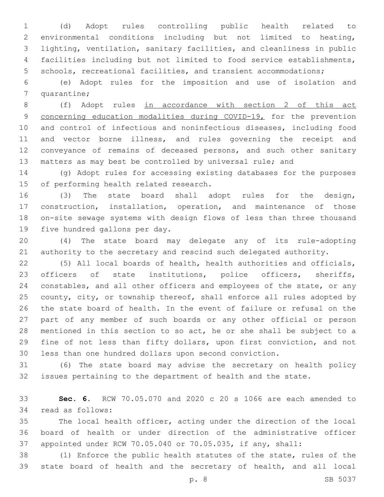(d) Adopt rules controlling public health related to environmental conditions including but not limited to heating, lighting, ventilation, sanitary facilities, and cleanliness in public facilities including but not limited to food service establishments, schools, recreational facilities, and transient accommodations;

 (e) Adopt rules for the imposition and use of isolation and 7 quarantine;

 (f) Adopt rules in accordance with section 2 of this act 9 concerning education modalities during COVID-19, for the prevention and control of infectious and noninfectious diseases, including food and vector borne illness, and rules governing the receipt and conveyance of remains of deceased persons, and such other sanitary matters as may best be controlled by universal rule; and

 (g) Adopt rules for accessing existing databases for the purposes 15 of performing health related research.

 (3) The state board shall adopt rules for the design, construction, installation, operation, and maintenance of those on-site sewage systems with design flows of less than three thousand 19 five hundred gallons per day.

 (4) The state board may delegate any of its rule-adopting authority to the secretary and rescind such delegated authority.

 (5) All local boards of health, health authorities and officials, 23 officers of state institutions, police officers, sheriffs, constables, and all other officers and employees of the state, or any 25 county, city, or township thereof, shall enforce all rules adopted by the state board of health. In the event of failure or refusal on the part of any member of such boards or any other official or person mentioned in this section to so act, he or she shall be subject to a fine of not less than fifty dollars, upon first conviction, and not less than one hundred dollars upon second conviction.

 (6) The state board may advise the secretary on health policy issues pertaining to the department of health and the state.

 **Sec. 6.** RCW 70.05.070 and 2020 c 20 s 1066 are each amended to 34 read as follows:

 The local health officer, acting under the direction of the local board of health or under direction of the administrative officer appointed under RCW 70.05.040 or 70.05.035, if any, shall:

 (1) Enforce the public health statutes of the state, rules of the state board of health and the secretary of health, and all local

p. 8 SB 5037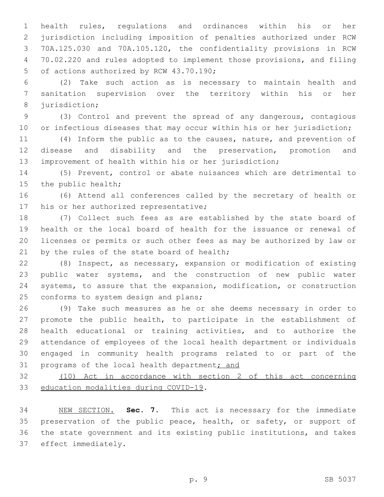health rules, regulations and ordinances within his or her jurisdiction including imposition of penalties authorized under RCW 70A.125.030 and 70A.105.120, the confidentiality provisions in RCW 70.02.220 and rules adopted to implement those provisions, and filing 5 of actions authorized by RCW 43.70.190;

 (2) Take such action as is necessary to maintain health and sanitation supervision over the territory within his or her 8 jurisdiction;

 (3) Control and prevent the spread of any dangerous, contagious 10 or infectious diseases that may occur within his or her jurisdiction;

 (4) Inform the public as to the causes, nature, and prevention of disease and disability and the preservation, promotion and improvement of health within his or her jurisdiction;

 (5) Prevent, control or abate nuisances which are detrimental to 15 the public health;

 (6) Attend all conferences called by the secretary of health or 17 his or her authorized representative;

 (7) Collect such fees as are established by the state board of health or the local board of health for the issuance or renewal of licenses or permits or such other fees as may be authorized by law or 21 by the rules of the state board of health;

 (8) Inspect, as necessary, expansion or modification of existing public water systems, and the construction of new public water systems, to assure that the expansion, modification, or construction 25 conforms to system design and plans;

 (9) Take such measures as he or she deems necessary in order to promote the public health, to participate in the establishment of health educational or training activities, and to authorize the attendance of employees of the local health department or individuals engaged in community health programs related to or part of the 31 programs of the local health department; and

 (10) Act in accordance with section 2 of this act concerning 33 education modalities during COVID-19.

 NEW SECTION. **Sec. 7.** This act is necessary for the immediate 35 preservation of the public peace, health, or safety, or support of the state government and its existing public institutions, and takes effect immediately.